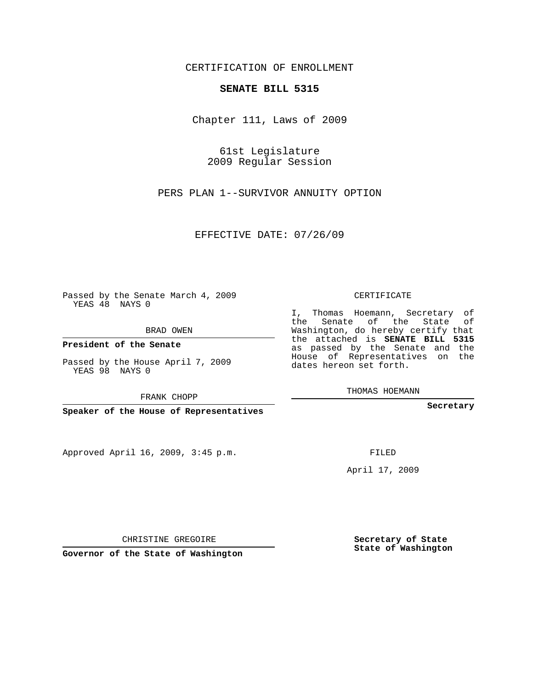## CERTIFICATION OF ENROLLMENT

## **SENATE BILL 5315**

Chapter 111, Laws of 2009

61st Legislature 2009 Regular Session

PERS PLAN 1--SURVIVOR ANNUITY OPTION

EFFECTIVE DATE: 07/26/09

Passed by the Senate March 4, 2009 YEAS 48 NAYS 0

BRAD OWEN

**President of the Senate**

Passed by the House April 7, 2009 YEAS 98 NAYS 0

FRANK CHOPP

**Speaker of the House of Representatives**

Approved April 16, 2009, 3:45 p.m.

CERTIFICATE

I, Thomas Hoemann, Secretary of the Senate of the State of Washington, do hereby certify that the attached is **SENATE BILL 5315** as passed by the Senate and the House of Representatives on the dates hereon set forth.

THOMAS HOEMANN

**Secretary**

FILED

April 17, 2009

**Secretary of State State of Washington**

CHRISTINE GREGOIRE

**Governor of the State of Washington**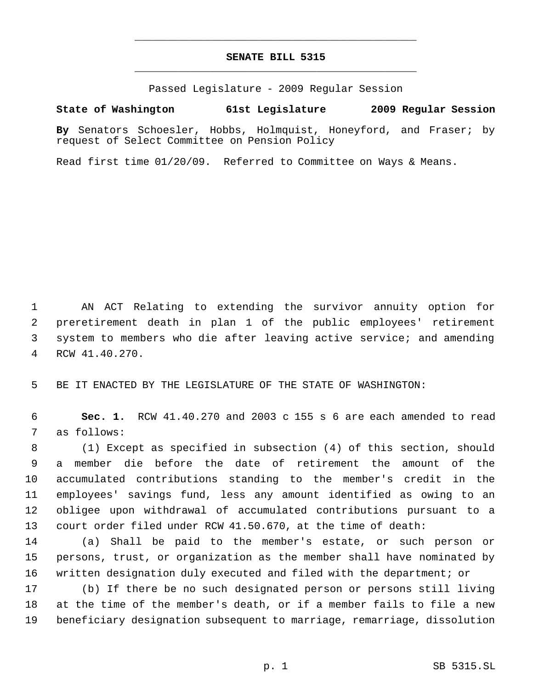## **SENATE BILL 5315** \_\_\_\_\_\_\_\_\_\_\_\_\_\_\_\_\_\_\_\_\_\_\_\_\_\_\_\_\_\_\_\_\_\_\_\_\_\_\_\_\_\_\_\_\_

\_\_\_\_\_\_\_\_\_\_\_\_\_\_\_\_\_\_\_\_\_\_\_\_\_\_\_\_\_\_\_\_\_\_\_\_\_\_\_\_\_\_\_\_\_

Passed Legislature - 2009 Regular Session

## **State of Washington 61st Legislature 2009 Regular Session**

**By** Senators Schoesler, Hobbs, Holmquist, Honeyford, and Fraser; by request of Select Committee on Pension Policy

Read first time 01/20/09. Referred to Committee on Ways & Means.

 AN ACT Relating to extending the survivor annuity option for preretirement death in plan 1 of the public employees' retirement system to members who die after leaving active service; and amending RCW 41.40.270.

BE IT ENACTED BY THE LEGISLATURE OF THE STATE OF WASHINGTON:

 **Sec. 1.** RCW 41.40.270 and 2003 c 155 s 6 are each amended to read as follows:

 (1) Except as specified in subsection (4) of this section, should a member die before the date of retirement the amount of the accumulated contributions standing to the member's credit in the employees' savings fund, less any amount identified as owing to an obligee upon withdrawal of accumulated contributions pursuant to a court order filed under RCW 41.50.670, at the time of death:

 (a) Shall be paid to the member's estate, or such person or persons, trust, or organization as the member shall have nominated by written designation duly executed and filed with the department; or

 (b) If there be no such designated person or persons still living at the time of the member's death, or if a member fails to file a new beneficiary designation subsequent to marriage, remarriage, dissolution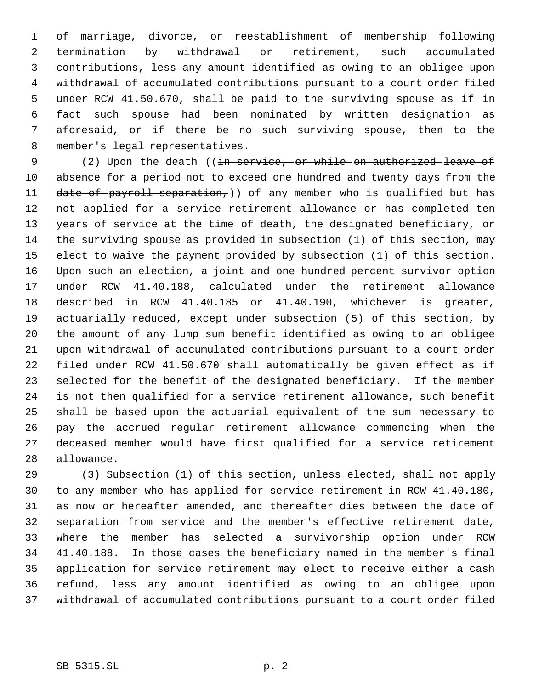of marriage, divorce, or reestablishment of membership following termination by withdrawal or retirement, such accumulated contributions, less any amount identified as owing to an obligee upon withdrawal of accumulated contributions pursuant to a court order filed under RCW 41.50.670, shall be paid to the surviving spouse as if in fact such spouse had been nominated by written designation as aforesaid, or if there be no such surviving spouse, then to the member's legal representatives.

9 (2) Upon the death ((in service, or while on authorized leave of 10 absence for a period not to exceed one hundred and twenty days from the 11 date of payroll separation,)) of any member who is qualified but has not applied for a service retirement allowance or has completed ten years of service at the time of death, the designated beneficiary, or the surviving spouse as provided in subsection (1) of this section, may elect to waive the payment provided by subsection (1) of this section. Upon such an election, a joint and one hundred percent survivor option under RCW 41.40.188, calculated under the retirement allowance described in RCW 41.40.185 or 41.40.190, whichever is greater, actuarially reduced, except under subsection (5) of this section, by the amount of any lump sum benefit identified as owing to an obligee upon withdrawal of accumulated contributions pursuant to a court order filed under RCW 41.50.670 shall automatically be given effect as if selected for the benefit of the designated beneficiary. If the member is not then qualified for a service retirement allowance, such benefit shall be based upon the actuarial equivalent of the sum necessary to pay the accrued regular retirement allowance commencing when the deceased member would have first qualified for a service retirement allowance.

 (3) Subsection (1) of this section, unless elected, shall not apply to any member who has applied for service retirement in RCW 41.40.180, as now or hereafter amended, and thereafter dies between the date of separation from service and the member's effective retirement date, where the member has selected a survivorship option under RCW 41.40.188. In those cases the beneficiary named in the member's final application for service retirement may elect to receive either a cash refund, less any amount identified as owing to an obligee upon withdrawal of accumulated contributions pursuant to a court order filed